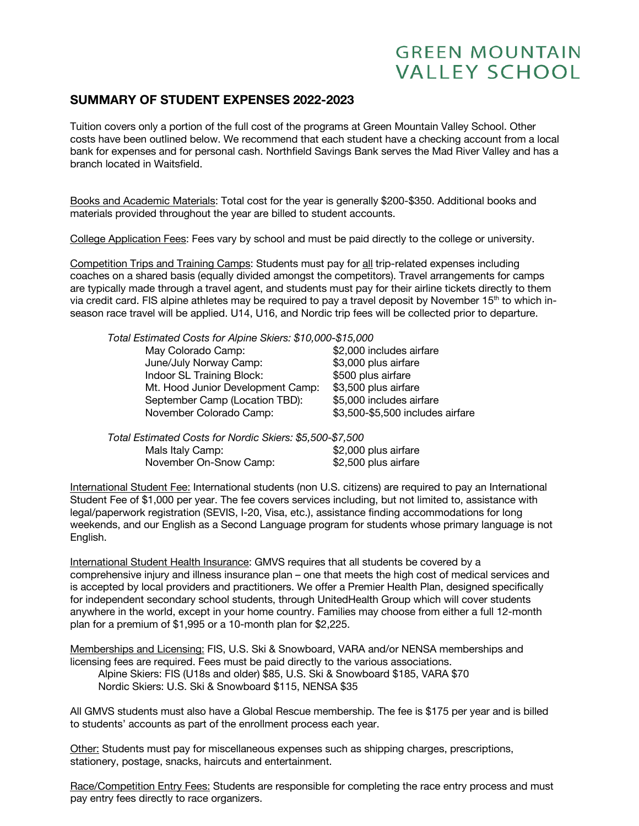## **GREEN MOUNTAIN VALLEY SCHOOL**

## **SUMMARY OF STUDENT EXPENSES 2022-2023**

Tuition covers only a portion of the full cost of the programs at Green Mountain Valley School. Other costs have been outlined below. We recommend that each student have a checking account from a local bank for expenses and for personal cash. Northfield Savings Bank serves the Mad River Valley and has a branch located in Waitsfield.

Books and Academic Materials: Total cost for the year is generally \$200-\$350. Additional books and materials provided throughout the year are billed to student accounts.

College Application Fees: Fees vary by school and must be paid directly to the college or university.

Competition Trips and Training Camps: Students must pay for all trip-related expenses including coaches on a shared basis (equally divided amongst the competitors). Travel arrangements for camps are typically made through a travel agent, and students must pay for their airline tickets directly to them via credit card. FIS alpine athletes may be required to pay a travel deposit by November 15<sup>th</sup> to which inseason race travel will be applied. U14, U16, and Nordic trip fees will be collected prior to departure.

| Total Estimated Costs for Alpine Skiers: \$10,000-\$15,000 |                                  |
|------------------------------------------------------------|----------------------------------|
| May Colorado Camp:                                         | \$2,000 includes airfare         |
| June/July Norway Camp:                                     | \$3,000 plus airfare             |
| Indoor SL Training Block:                                  | \$500 plus airfare               |
| Mt. Hood Junior Development Camp:                          | \$3,500 plus airfare             |
| September Camp (Location TBD):                             | \$5,000 includes airfare         |
| November Colorado Camp:                                    | \$3,500-\$5,500 includes airfare |
|                                                            |                                  |

| Total Estimated Costs for Nordic Skiers: \$5,500-\$7,500 |                      |
|----------------------------------------------------------|----------------------|
| Mals Italy Camp:                                         | \$2,000 plus airfare |
| November On-Snow Camp:                                   | \$2,500 plus airfare |

International Student Fee: International students (non U.S. citizens) are required to pay an International Student Fee of \$1,000 per year. The fee covers services including, but not limited to, assistance with legal/paperwork registration (SEVIS, I-20, Visa, etc.), assistance finding accommodations for long weekends, and our English as a Second Language program for students whose primary language is not English.

International Student Health Insurance: GMVS requires that all students be covered by a comprehensive injury and illness insurance plan – one that meets the high cost of medical services and is accepted by local providers and practitioners. We offer a Premier Health Plan, designed specifically for independent secondary school students, through UnitedHealth Group which will cover students anywhere in the world, except in your home country. Families may choose from either a full 12-month plan for a premium of \$1,995 or a 10-month plan for \$2,225.

Memberships and Licensing: FIS, U.S. Ski & Snowboard, VARA and/or NENSA memberships and licensing fees are required. Fees must be paid directly to the various associations. Alpine Skiers: FIS (U18s and older) \$85, U.S. Ski & Snowboard \$185, VARA \$70 Nordic Skiers: U.S. Ski & Snowboard \$115, NENSA \$35

All GMVS students must also have a Global Rescue membership. The fee is \$175 per year and is billed to students' accounts as part of the enrollment process each year.

Other: Students must pay for miscellaneous expenses such as shipping charges, prescriptions, stationery, postage, snacks, haircuts and entertainment.

Race/Competition Entry Fees: Students are responsible for completing the race entry process and must pay entry fees directly to race organizers.